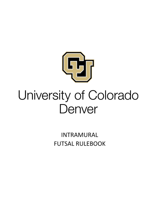

# University of Colorado Denver

**INTRAMURAL FUTSAL RULEBOOK**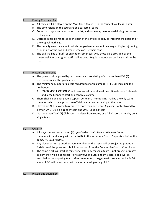#### I. Playing Court and Ball

- A. All games will be played on the MAC Court (Court 3) in the Student Wellness Center.
- B. The dimensions on the court are one basketball court.
- C. Some markings may be assumed to exist, and some may be obscured during the course of the game.
- D. Decisions shall be rendered to the best of the official's ability to interpret the position of the original markings.
- E. The penalty area is an area in which the goalkeeper cannot be charged if s/he is jumping or running for the ball and where s/he can use their hands.
- F. The ball shall be a "fluff" or an indoor soccer ball. Only those balls provided by the Intramural Sports Program staff shall be used. Regular outdoor soccer balls shall not be used.

#### II. Players and Eligibility

- A. The game shall be played by two teams, each consisting of no more than FIVE (5) players, including the goalkeeper.
- B. The minimum number of players required to start a game is THREE (3), including the goalkeeper.
	- 1. CO-ED MODIFICATION: Co-ed teams must have at least one (1) male, one (1) female, and a goalkeeper to start and continue a game.
- C. There shall be one designated captain per team. The captains shall be the only team members who may approach an official on matters pertaining to the rules.
- D. Players are NOT allowed to represent more than one team. A player is only allowed to play on ONE (1) single-gender team and ONE (1) co-ed team.
- E. No more than TWO (2) Club Sports athletes from soccer, or a "like" sport, may play on a single team.

#### III. Check-In

- A. All players must present their (1) Lynx Card or (2) CU Denver Wellness Center membership card, along with a photo ID, to the Intramural Sports Supervisor before the game. NO EXCEPTIONS.
- B. Any player posing as another team member on the roster will be subject to potential forfeiture of the game and disciplinary action from the Competitive Sports Coordinator.
- C. The game clock will start at game time. If for any reason a team is not present or ready to play, they will be penalized. For every two minutes a team is late, a goal will be awarded to the opposing team. After ten minutes, the game will be called and a forfeit score of 5-0 will be recorded with a sportsmanship rating of 1.0.

#### IV. Players and Equipment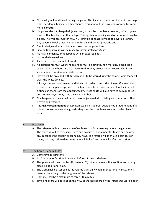- A. No jewelry will be allowed during the game! This includes, but is not limited to: earrings, rings, necklaces, bracelets, rubber bands, recreational fitness watches or monitors and metal barrettes.
- B. If a player elects to keep their jewelry on, it must be completely covered, prior to game time, with a bandage or athletic tape. This applies to piercings and other non-removable pieces. The Wellness Center WILL NOT provide bandages or tape to cover up jewelry. Any covered jewelry must be flesh with skin and cannot protrude out.
- C. Medic alert jewelry must be taped down before game time.
- D. Final calls on jewelry will be made by Intramural Sports Staff.
- E. No hats, bandanas, or headbands with an exposed knot.
- F. No hooded sweatshirts.
- G. Jeans and cut-offs are not allowed.
- H. All participants must wear shoes. Shoes must be athletic, non-marking, closed-toed shoes. Cleats and boots are NOT permitted for play on our indoor courts. Five-finger shoes are not considered athletic shoes.
- I. Players will be provided with futsal pinnies to be worn during the game. Home team will wear the white pinnies.
- J. All players must have sleeves on their shirt in order to wear the pinnies. If a team elects to not wear the pinnies provided, the team must be wearing same-colored shirts that distinguish them from the opposing team. These shirts will also have to be numbered and no two players may have the same number.
- K. Goalkeepers must wear a different colored jersey/shirt to distinguish them from other players and referees.
- L. It is **highly recommended** that players wear shin guards, but it is not a requirement. If a player chooses to wear shin guards, they must be completely covered by the player's socks.

#### V. Pre-Game

A. The referees will call the captain of each team in for a meeting before the game starts. The meeting will go over some rules and policies as a reminder for teams and answer any questions the captain or team may have. The referee will then use a coin toss or paper, scissors, rock to determine who will kick off and who will defend what side.

#### VI. The Game (General Rules)

- A. Game time is start time.
- B. A 10 minute forfeit time is allowed before a forfeit is declared.
- C. The game shall consist of two (2) twenty (20) minute halves with a continuous running clock, no additional time.
- D. The clock shall be stopped at the referee's call only when a serious injury exists or it is deemed necessary by the judgment of the referee.
- E. Halftime shall be a maximum of three (3) minutes.
- F. Time and score will be kept on the MAC court scoreboard by the Intramural Scorekeeper.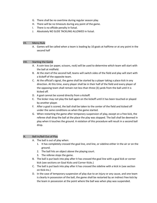- G. There shall be no overtime during regular season play.
- H. There will be no timeouts during any point of the game.
- I. There is no offside penalty in futsal.
- J. Absolutely NO SLIDE TACKLING ALLOWED in futsal.

# VII. Mercy Rule

A. Games will be called when a team is leading by 10 goals at halftime or at any point in the second half

# VIII. Starting the Game

- A. A coin toss (or paper, scissors, rock) will be used to determine which team will start with the ball at midfield.
- B. At the start of the second half, teams will switch sides of the field and play will start with a kickoff of the opposite team.
- C. At the official's signal, the game shall be started by a player taking a place kick in any direction. At this time, every player shall be in their half of the field and every player of the opposing team shall remain not less than three (3) yards from the ball until it is kicked off.
- D. A goal cannot be scored directly from a kickoff.
- E. The kicker may not play the ball again on the kickoff until it has been touched or played by another player.
- F. After a goal is scored, the ball shall be taken to the center of the field and kicked off under the same conditions as when the game started.
- G. When restarting the game after temporary suspension of play, except on a free kick, the referee shall drop the ball at the place the play was stopped. The ball shall be deemed in play when it touches the ground. A violation of this procedure will result in a second ball drop.

#### IX. Ball In/Ball Out of Play

- A. The ball is out of play when:
	- 1. It has completely crossed the goal line, end line, or sideline either in the air or on the ground.
	- 2. The ball hits an object above the playing court.
	- 3. The referee stops the game.
- B. The ball is put back into play after it has crossed the goal line with a goal kick or corner kick (see sections on Goal Kicks and Corner Kicks.)
- C. The ball is put back into play after it has crossed the sideline with a kick in (see section on Kick-Ins.)
- D. In the case of temporary suspension of play due to an injury or any cause, and one team is clearly in possession of the ball, the game shall be restarted by an indirect free kick by the team in possession at the point where the ball was when play was suspended.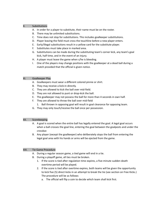# X. Substitutions

- A. In order for a player to substitute, their name must be on the roster.
- B. There may be unlimited substitutions.
- C. Time does not stop for substitutions. This includes goalkeeper substitutions.
- D. Player leaving the field must cross the touchline before a new player enters.
- E. Early/illegal substitutions result in a yellow card for the substitute player.
- F. Substitutes must take place in marked area.
- G. Substitutions can be made during the substituting team's corner kick, any team's goal kick, half time, and in the event of an injury.
- H. A player must leave the game when s/he is bleeding.
- I. One of the players may change positions with the goalkeeper at a dead ball during a match provided that the official is given notice.

# XI. Goalkeeper Play

- A. Goalkeepers must wear a different colored pinnie or shirt.
- B. They may receive a kick-in directly.
- C. They are allowed to kick the ball over mid-field.
- D. They are not allowed to punt or drop-kick the ball.
- E. The goalkeeper may not possess the ball for more than 4 seconds in own half.
- F. They are allowed to throw the ball over mid-field
	- 1. Ball thrown in opposing goal will result in goal clearance for opposing team.
- G. They may only touch/receive the ball once per possession.

#### XII. Scorekeeping

- A. A goal is scored when the entire ball has legally entered the goal. A legal goal occurs when a ball crosses the goal line, entering the goal between the goalposts and under the crossbar.
- B. Any player (except the goalkeeper) who deliberately stops the ball from entering the legal goal area with his hands or arms will be ejected from the game.

#### XIII. Tie Game Procedure

- A. During a regular season game, a tied game will end in a tie.
- B. During a playoff game, all ties must be broken.
	- 1. If the score is tied after regulation time expires, a five-minute sudden death overtime period will be played.
	- 2. If the score is tied after overtime expires, both teams will be given the opportunity to kick five (5) direct kicks in an attempt to break the tie (see section on Free Kicks.) The procedure will be as follows:
		- a. The official will flip a coin to decide which team shall kick first.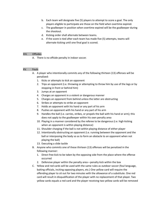- b. Each team will designate five (5) players to attempt to score a goal. The only players eligible to participate are those on the field when overtime expired.
- c. The goalkeeper in position when overtime expired will be the goalkeeper during the shootout.
- d. Kicking order shall alternate between teams.
- e. If the score is tied after each team has made five (5) attempts, teams will alternate kicking until one final goal is scored.

# XIV. Offsides

A. There is no offside penalty in indoor soccer.

# XV. Fouls

- A. A player who intentionally commits any of the following thirteen (13) offenses will be penalized:
	- 1. Kicks or attempts to kick an opponent
	- 2. Trips an opponent (i.e. throwing or attempting to throw him by use of the legs or by stopping in front or behind him)
	- 3. Jumps at an opponent
	- 4. Charges an opponent in a violent or dangerous manner
	- 5. Charges an opponent from behind unless the latter are obstructing
	- 6. Strikes or attempts to strike an opponent
	- 7. Holds an opponent with his hand or any part of his arm
	- 8. Pushes an opponent with his hand or any part of his arm
	- 9. Handles the ball (i.e. carries, strikes, or propels the ball with his hand or arm); this does not apply to the goalkeeper within his own penalty area
	- 10. Playing in a manner considered by the referee to be dangerous (i.e. high kicking when an opponent is within playing distance)
	- 11. Shoulder charging if the ball is not within playing distance of either player
	- 12. Intentionally obstructing an opponent (i.e. running between the opponent and the ball or interposing the body so as to form an obstacle to an opponent when not playing the ball)
	- 13. Executing a slide tackle
- B. Anyone who commits one of these thirteen (13) offenses will be penalized in the following manner:
	- 1. Direct free kick to be taken by the opposing side from the place where the offense occurred
	- 2. Defensive player within the penalty area—penalty kick within the box
- C. Yellow and red cards will be used with the same rules as outdoor soccer (foul language, baiting officials, inciting opposing players, etc.) One yellow card will require the offending player to sit out for two minutes with the allowance of a substitute. One red card will result in disqualification of the player with no replacement of that player. Two yellow cards equals a red card and the player receiving two yellow cards will be removed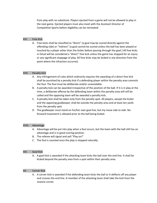from play with no substitute. Players ejected from a game will not be allowed to play in the next game. Ejected players must also meet with the Assistant Director of Competitive Sports before eligibility can be reinstated.

#### XVI. Free Kick

A. Free kicks shall be classified as "direct" (a goal may be scored directly against the offending side) or "indirect" (a goal cannot be scored unless the ball has been played or touched by a player other than the kicker before passing through the goal.) All free kicks in futsal will be considered a "direct" free kick unless the game has stopped for an injury or any significant stoppage of play. All free kicks may be kicked in any direction from the point where the infraction occurred.

# XVII. Penalty Kick

- A. Any infringement of rules which ordinarily requires the awarding of a direct free kick shall be punished by a penalty kick if a defending player within the penalty area commits the foul. The foul must be deliberate and/or unavoidable.
- B. A penalty kick can be awarded irrespective of the position of the ball. If it is in play at the time, a deliberate offense by the defending team within the penalty area will still be called and the opposing team will be awarded a penalty kick.
- C. A penalty kick shall be taken only from the penalty spot. All players, except the kicker and the opposing goalkeeper, shall be outside the penalty area and at least ten yards from the penalty spot.
- D. The goalkeeper must stand on his/her own goal line, but my move side to side. No forward movement is allowed prior to the ball being kicked.

#### XVIII. Advantage

- A. Advantage will be put into play when a foul occurs, but the team with the ball still has an advantage and is in good scoring position.
- B. The referee will signal and yell "Play on!"
- C. The foul is counted once the play is stopped naturally.
- XIX. Goal Kick
	- A. A goal kick is awarded if the attacking team kicks the ball over the end line. It shall be kicked beyond the penalty area from a spot within their penalty area.

#### XX. Corner Kick

A. A corner kick is awarded if the defending team kicks the ball or it deflects off any player and crosses the end line. A member of the attacking team shall take the kick from the nearest corner.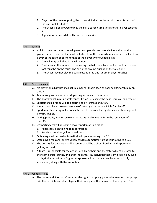- 1. Players of the team opposing the corner kick shall not be within three (3) yards of the ball until it is kicked.
- 2. The kicker is not allowed to play the ball a second time until another player touches it.
- 3. A goal may be scored directly from a corner kick.

# XXI. Kick-In

- A. Kick in is awarded when the ball passes completely over a touch line, either on the ground or in the air. The ball shall be kicked from the point where it crossed the line by a player of the team opposite to that of the player who touched it last.
	- 1. The ball may be kicked in any direction.
	- 2. The kicker, at the moment of delivering the ball, must face the field and part of one foot must be on the touch line or on the ground outside of the touch line.
	- 3. The kicker may not play the ball a second time until another player touches it.

# XXII. Sportsmanship

- A. No player or substitute shall act in a manner that is seen as poor sportsmanship by an official.
- B. Teams are given a sportsmanship rating at the end of their match.
- C. The sportsmanship rating scale ranges from 1-5, 5 being the best score you can receive.
- D. Sportsmanship rating will be determined by referees and staff.
- E. A team must have a season average of 3.0 or greater to be eligible for playoffs.
- F. Sportsmanship rating will serve as the first tie breaker for regular season standings and playoff seeding.
- G. During playoffs, a rating below a 3.0 results in elimination from the remainder of playoffs.
- H. Unsporting acts will result in a lower sportsmanship rating
	- 1. Repeatedly questioning calls of referees
	- 2. Receiving conduct yellow or red cards
- I. Obtaining a yellow card automatically drops your rating to a 3.0.
- J. Obtaining a red card (or two yellow cards) automatically drops your rating to a 2.0.
- K. The penalty for unsportsmanlike conduct shall be a direct free kick and a potential yellow/red card.
- L. A team is responsible for the actions of all members and spectators directly related to the team before, during, and after the game. Any individual that is involved in any type of physical altercation or flagrant unsportsmanlike conduct may be automatically suspended, along with the entire team.

#### XXIII. General Rules

A. The Intramural Sports staff reserves the right to stop any game whenever such stoppage is in the best interest of all players, their safety, and the mission of the program. The